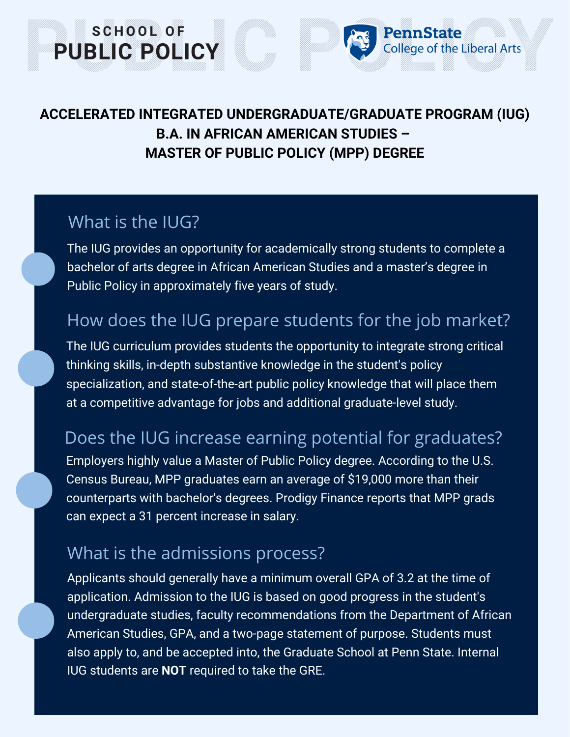### **ACCELERATED INTEGRATED UNDERGRADUATE/GRADUATE PROGRAM (IUG) B.A. IN AFRICAN AMERICAN STUDIES – MASTER OF PUBLIC POLICY (MPP) DEGREE**

PennState

ollege of the Liberal Arts

### What is the ILIG?

SCHOOL OF

**PUBLIC POLICY** 

The IUG provides an opportunity for academically strong students to complete a bachelor of arts degree in African American Studies and a master's degree in Public Policy in approximately five years of study.

# How does the IUG prepare students for the job market?

The IUG curriculum provides students the opportunity to integrate strong critical thinking skills, in-depth substantive knowledge in the student's policy specialization, and state-of-the-art public policy knowledge that will place them at a competitive advantage for jobs and additional graduate-level study.

# Does the IUG increase earning potential for graduates?

Employers highly value a Master of Public Policy degree. According to the U.S. Census Bureau, MPP graduates earn an average of \$19,000 more than their counterparts with bachelor's degrees. Prodigy Finance reports that MPP grads can expect a 31 percent increase in salary.

# What is the admissions process?

Applicants should generally have a minimum overall GPA of 3.2 at the time of application. Admission to the IUG is based on good progress in the student's undergraduate studies, faculty recommendations from the Department of African American Studies, GPA, and a two-page statement of purpose. Students must also apply to, and be accepted into, the Graduate School at Penn State. Internal IUG students are **NOT** required to take the GRE.